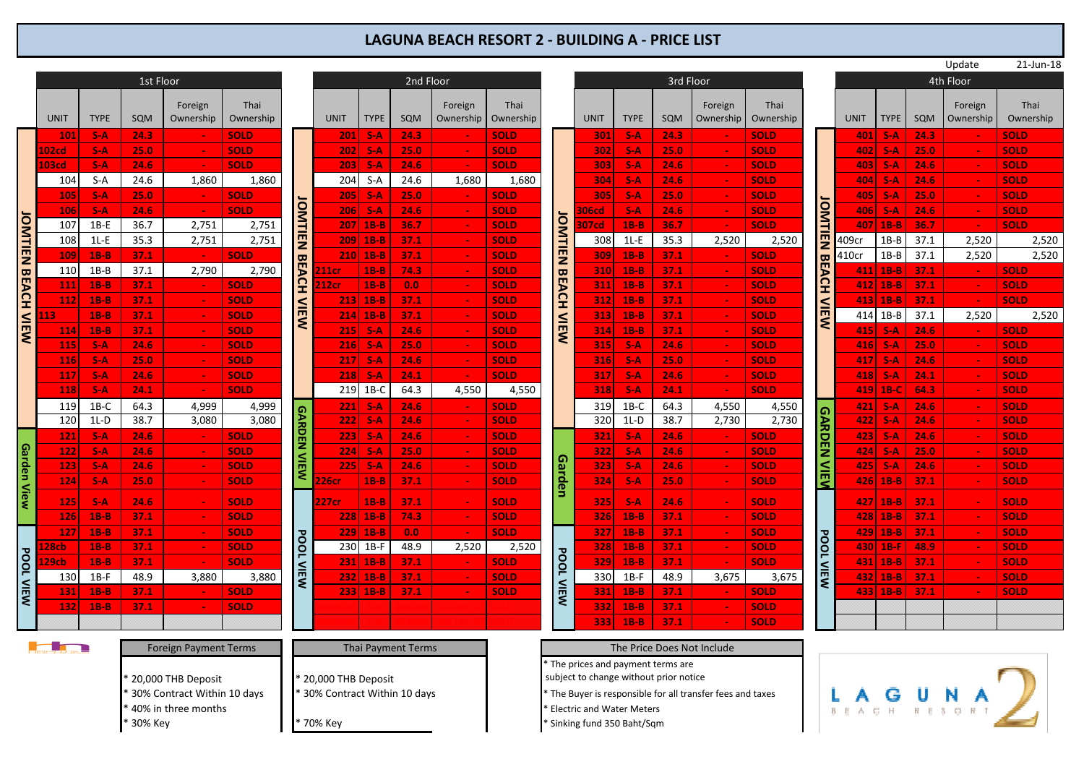## **LAGUNA BEACH RESORT 2 - BUILDING A - PRICE LIST**

|                           |                 |                        |                             |                              |             |                             |                    |              |                           |           |                                                                                                                                                 |                                        |                                  |             |          |                            |                       | Update      | 21-Jun-18   |             |        |             |             |      |       |       |
|---------------------------|-----------------|------------------------|-----------------------------|------------------------------|-------------|-----------------------------|--------------------|--------------|---------------------------|-----------|-------------------------------------------------------------------------------------------------------------------------------------------------|----------------------------------------|----------------------------------|-------------|----------|----------------------------|-----------------------|-------------|-------------|-------------|--------|-------------|-------------|------|-------|-------|
|                           |                 | 2nd Floor<br>1st Floor |                             |                              |             |                             |                    |              |                           | 3rd Floor |                                                                                                                                                 |                                        |                                  |             |          | 4th Floor                  |                       |             |             |             |        |             |             |      |       |       |
|                           |                 |                        |                             |                              |             |                             |                    |              |                           |           |                                                                                                                                                 |                                        |                                  |             |          |                            |                       |             |             |             |        |             |             |      |       |       |
|                           |                 |                        |                             | Foreign                      | Thai        |                             |                    |              |                           | Foreign   | Thai                                                                                                                                            |                                        |                                  |             |          | Foreign                    | Thai                  |             |             |             |        | Foreign     | Thai        |      |       |       |
|                           | <b>UNIT</b>     | <b>TYPE</b>            | SQM                         | Ownership                    | Ownership   |                             | <b>UNIT</b>        | <b>TYPE</b>  | SQM                       | Ownership | Ownership                                                                                                                                       |                                        | <b>UNIT</b>                      | <b>TYPE</b> | SQM      | Ownership                  | Ownership             |             | <b>UNIT</b> | <b>TYPE</b> | SQM    | Ownership   | Ownership   |      |       |       |
|                           | 101             | $S-A$                  | 24.3                        |                              | <b>SOLD</b> |                             | 201                | $S-A$        | 24.3                      |           | <b>SOLD</b><br><b>SOLD</b><br><b>SOLD</b><br>1,680<br><b>SOLD</b><br><b>SOLD</b><br><b>JOMTIEN</b><br><b>SOLD</b><br><b>SOLD</b><br><b>SOLD</b> | 301                                    | $S-A$                            | 24.3        |          | <b>SOLD</b>                |                       | 401         | $S-A$       | 24.3        |        | <b>SOLD</b> |             |      |       |       |
|                           | 102cd           | $S-A$                  | 25.0                        |                              | <b>SOLD</b> |                             | 202                | $S-A$        | 25.0                      |           |                                                                                                                                                 | 302                                    | $S-A$                            | 25.0        |          | <b>SOLD</b>                |                       | 4021        | $S-A$       | 25.0        |        | <b>SOLD</b> |             |      |       |       |
|                           | <b>L03cd</b>    | $S-A$                  | 24.6                        | $\sim$                       | <b>SOLD</b> |                             | 203                | $S-A$        | 24.6                      |           |                                                                                                                                                 | 303                                    | $S-A$                            | 24.6        | $\sim$   | <b>SOLD</b>                |                       | 403         | $S-A$       | 24.6        | $\sim$ | <b>SOLD</b> |             |      |       |       |
|                           | 104             | $S-A$                  | 24.6                        | 1,860                        | 1,860       |                             | 204                | $S-A$        | 24.6                      | 1,680     |                                                                                                                                                 | 304                                    | $S-A$                            | 24.6        |          | <b>SOLD</b>                |                       | 404 I       | $S-A$       | 24.6        |        | <b>SOLD</b> |             |      |       |       |
|                           | 105             | $S-A$                  | 25.0                        | $\sim$                       | <b>SOLD</b> |                             | 205                | $S-A$        | 25.0                      |           |                                                                                                                                                 | 305                                    | $S-A$                            | 25.0        |          | <b>SOLD</b>                | <b>OMTIEN</b>         | 405 I       | $S-A$       | 25.0        |        | <b>SOLD</b> |             |      |       |       |
|                           | <b>106</b>      | $S-A$                  | 24.6                        | $\sim$                       | <b>SOLD</b> |                             | 206                | $S-A$        | 24.6                      |           |                                                                                                                                                 | :06cd                                  | $S-A$                            | 24.6        |          | <b>SOLD</b>                |                       | 406         | $S-A$       | 24.6        | $\sim$ | <b>SOLD</b> |             |      |       |       |
|                           | 107             | $1B-E$                 | 36.7                        | 2,751                        | 2,751       |                             | 207                | $1B-B$       | 36.7                      |           |                                                                                                                                                 | 07cd                                   | $1B-B$                           | 36.7        | $\sim$   | <b>SOLD</b>                |                       | 407         | $1B-B$      | 36.7        | $\sim$ | <b>SOLD</b> |             |      |       |       |
|                           | 108             | $1L-E$                 | 35.3                        | 2,751                        | 2,751       | <b>OMTIEN</b>               | 209                | $1B-B$       | 37.1                      |           |                                                                                                                                                 | 308                                    | $1L-E$                           | 35.3        | 2,520    | 2,520                      | <b>BEACH</b>          | 109cr       | $1B-B$      | 37.1        | 2,520  | 2,520       |             |      |       |       |
|                           | 109             | $1B-B$                 | 37.1                        | $\sim$                       | <b>SOLD</b> |                             |                    | $210$ 1B-B   | 37.1                      |           |                                                                                                                                                 | 309                                    | $1B-B$                           | 37.1        | <b>.</b> | <b>SOLD</b>                |                       | 410cr       | $1B-B$      | 37.1        | 2,520  | 2,520       |             |      |       |       |
|                           | 110             | $1B-B$                 | 37.1                        | 2,790                        | 2,790       | <b>BEACH</b>                | 11cr               | $1B-B$       | 74.3                      |           | <b>SOLD</b>                                                                                                                                     | <b>BEACH</b>                           | 310                              | $1B-B$      | 37.1     | $\sim$                     | <b>SOLD</b>           |             |             | $411$ 1B-B  | 37.1   |             | <b>SOLD</b> |      |       |       |
|                           | 111             | $1B-B$                 | 37.1                        | $\mathcal{L}_{\mathcal{C}}$  | <b>SOLD</b> |                             | 12cr               | $1B-B$       | 0.0 <sub>1</sub>          |           | <b>SOLD</b>                                                                                                                                     |                                        | 311                              | $1B-B$      | 37.1     | $\sim$                     | <b>SOLD</b>           |             | 412         | $1B-B$      | 37.1   | $\sim$      | <b>SOLD</b> |      |       |       |
|                           | 112             | $1B-B$                 | 37.1                        | $\sim$                       | <b>SOLD</b> |                             | 213                | $1B-B$       | 37.1                      |           | <b>SOLD</b>                                                                                                                                     | 312                                    | $1B-B$                           | 37.1        |          | <b>SOLD</b>                | <b>NIEW</b>           | 413         | $1B-B$      | 37.1        | $\sim$ | <b>SOLD</b> |             |      |       |       |
| <b>JOMTIEN BEACH VIEW</b> |                 | $1B-B$                 | 37.1                        |                              | <b>SOLD</b> |                             |                    |              | <b>VIEW</b>               | 214       | $1B-B$                                                                                                                                          | 37.1                                   |                                  | <b>SOLD</b> |          | 313                        | $1B-B$                | 37.1        |             | <b>SOLD</b> |        |             | 414 1B-B    | 37.1 | 2,520 | 2,520 |
|                           | 114             | $1B-B$                 | 37.1                        |                              | <b>SOLD</b> |                             | 215                | $S-A$        | 24.6                      |           | NEW<br><b>SOLD</b><br><b>SOLD</b>                                                                                                               | 314                                    | $1B-B$                           | 37.1        |          | <b>SOLD</b>                |                       | 415         | $S-A$       | 24.6        |        | <b>SOLD</b> |             |      |       |       |
|                           | 115             | $S-A$                  | 24.6                        |                              | <b>SOLD</b> |                             | 216                | $S-A$        | 25.0                      |           |                                                                                                                                                 | 315                                    | $S-A$                            | 24.6        |          | <b>SOLD</b>                |                       | 416         | $S-A$       | 25.0        | $\sim$ | <b>SOLD</b> |             |      |       |       |
|                           | <b>116</b>      | $S-A$                  | 25.0                        |                              | <b>SOLD</b> |                             | 217                | $S-A$        | 24.6                      |           | <b>SOLD</b>                                                                                                                                     |                                        | 316                              | $S-A$       | 25.0     |                            | <b>SOLD</b>           |             | 417         | $S-A$       | 24.6   |             | <b>SOLD</b> |      |       |       |
|                           | 117             | $S-A$                  | 24.6                        |                              | <b>SOLD</b> |                             | 218                | $S-A$        | 24.1                      |           | <b>SOLD</b>                                                                                                                                     |                                        | 317                              | $S-A$       | 24.6     |                            | <b>SOLD</b>           |             | 418         | $S-A$       | 24.1   |             | <b>SOLD</b> |      |       |       |
|                           | 118             | $S-A$                  | 24.1                        | $\sim$                       | <b>SOLD</b> |                             | 219                | $1B-C$       | 64.3                      | 4,550     | 4,550                                                                                                                                           |                                        | 318                              | $S-A$       | 24.1     |                            | <b>SOLD</b>           |             |             | 419  1B-C   | 64.3   |             | <b>SOLD</b> |      |       |       |
|                           | 119             | $1B-C$                 | 64.3                        | 4,999                        | 4,999       |                             | 221                | $S-A$        | 24.6                      |           | <b>SOLD</b>                                                                                                                                     |                                        | 319                              | $1B-C$      | 64.3     | 4,550                      | 4,550                 |             | 421         | $S-A$       | 24.6   |             | <b>SOLD</b> |      |       |       |
|                           | 120             | $1L-D$                 | 38.7                        | 3,080                        | 3,080       |                             | 222                | $S-A$        | 24.6                      |           | <b>SOLD</b><br><b>SOLD</b><br><b>SOLD</b><br>Garden<br><b>SOLD</b>                                                                              | 320                                    | $1L-D$                           | 38.7        | 2,730    | 2,730                      |                       | 4221        | $S-A$       | 24.6        |        | <b>SOLD</b> |             |      |       |       |
|                           | 121             | $S-A$                  | 24.6                        | $\sim$                       | <b>SOLD</b> | <b>GARDEN</b>               | 223                | $S-A$        | 24.6                      |           |                                                                                                                                                 | 321                                    | $S-A$                            | 24.6        |          | <b>SOLD</b>                | <b>GARDEN</b><br>NIEN | 423         | $S-A$       | 24.6        |        | <b>SOLD</b> |             |      |       |       |
| Garden View               | 122             | $S-A$                  | 24.6                        | $\sim$                       | <b>SOLD</b> |                             | 224                | $S-A$        | 25.0                      |           |                                                                                                                                                 | 322                                    | $S-A$                            | 24.6        | $\sim$   | <b>SOLD</b>                |                       | 424         | $S-A$       | 25.0        |        | <b>SOLD</b> |             |      |       |       |
|                           | 123             | $S-A$                  | 24.6                        |                              | <b>SOLD</b> | <b>VIEW</b>                 | 225                | $S-A$        | 24.6                      |           |                                                                                                                                                 | 323                                    | $S-A$                            | 24.6        |          | <b>SOLD</b>                |                       | 425         | $S-A$       | 24.6        |        | <b>SOLD</b> |             |      |       |       |
|                           | 124             | $S-A$                  | 25.0                        |                              | <b>SOLD</b> |                             | !26cr              | $1B-B$       | 37.1                      |           | <b>SOLD</b>                                                                                                                                     |                                        | 324                              | $S-A$       | 25.0     |                            | <b>SOLD</b>           |             |             | 426   1B-B  | 37.1   |             | <b>SOLD</b> |      |       |       |
|                           | 125             | $S-A$                  | 24.6                        |                              | <b>SOLD</b> |                             | 27 <sub>cr</sub>   | $1B-B$       | 37.1                      |           | <b>SOLD</b>                                                                                                                                     |                                        | 325                              | $S-A$       | 24.6     |                            | <b>SOLD</b>           |             | 427         | $1B-B$      | 37.1   |             | <b>SOLD</b> |      |       |       |
|                           | 126             | $1B-B$                 | 37.1                        |                              | <b>SOLD</b> |                             | 228                | $1B-B$       | 74.3                      |           | <b>SOLD</b>                                                                                                                                     |                                        | 326                              | $1B-B$      | 37.1     |                            | <b>SOLD</b>           |             | 428         | $1B-B$      | 37.1   |             | <b>SOLD</b> |      |       |       |
|                           | 127             | $1B-B$                 | 37.1                        | $\sim$                       | <b>SOLD</b> |                             | 229                | $1B-B$       | 0.0 <sub>1</sub>          |           | <b>SOLD</b>                                                                                                                                     |                                        | 327                              | $1B-B$      | 37.1     |                            | <b>SOLD</b>           |             | 4291        | $1B-B$      | 37.1   | $\sim$      | <b>SOLD</b> |      |       |       |
|                           | .28cb           | $1B-B$                 | 37.1                        |                              | <b>SOLD</b> | <b>POOL</b>                 |                    | 230 1B-F     | 48.9                      | 2,520     | 2,520                                                                                                                                           |                                        | 328                              | $1B-B$      | 37.1     |                            | <b>SOLD</b>           | <b>POOL</b> | 430 I       | $1B-F$      | 48.9   |             | <b>SOLD</b> |      |       |       |
|                           | 29cb            | $1B-B$                 | 37.1                        |                              | <b>SOLD</b> |                             | 231                | $1B-B$       | 37.1                      |           | <b>SOLD</b>                                                                                                                                     |                                        | 329                              | $1B-B$      | 37.1     |                            | <b>SOLD</b>           |             | 431         | $1B-B$      | 37.1   |             | <b>SOLD</b> |      |       |       |
|                           | 130             | $1B-F$                 | 48.9                        | 3,880                        | 3,880       | <b>VIEW</b>                 | 232                | $1B-B$       | 37.1                      |           | <b>SOLD</b>                                                                                                                                     |                                        | 330                              | $1B-F$      | 48.9     | 3,675                      | 3,675                 | <b>VIEW</b> | 4321        | $1B-B$      | 37.1   |             | <b>SOLD</b> |      |       |       |
| <b>POOL VIEW</b>          | 131             | $1B-B$                 | 37.1                        |                              | <b>SOLD</b> |                             |                    | $233   1B-B$ | 37.1                      |           | <b>SOLD</b>                                                                                                                                     | <b>POOL VIEW</b>                       | 331                              | $1B-B$      | 37.1     |                            | <b>SOLD</b>           |             | 4331        | $1B-B$      | 37.1   |             | <b>SOLD</b> |      |       |       |
|                           | 132             | $1B-B$                 | 37.1                        |                              | <b>SOLD</b> |                             |                    |              |                           |           |                                                                                                                                                 |                                        | 332                              | $1B-B$      | 37.1     |                            | <b>SOLD</b>           |             |             |             |        |             |             |      |       |       |
|                           |                 |                        |                             |                              |             |                             |                    |              |                           |           |                                                                                                                                                 | 333                                    | $1B-B$                           | 37.1        |          | <b>SOLD</b>                |                       |             |             |             |        |             |             |      |       |       |
|                           |                 |                        |                             |                              |             |                             |                    |              |                           |           |                                                                                                                                                 |                                        |                                  |             |          |                            |                       |             |             |             |        |             |             |      |       |       |
|                           | <u>Light</u> in |                        |                             | <b>Foreign Payment Terms</b> |             |                             |                    |              | <b>Thai Payment Terms</b> |           |                                                                                                                                                 |                                        |                                  |             |          | The Price Does Not Include |                       |             |             |             |        |             |             |      |       |       |
|                           |                 |                        |                             |                              |             |                             |                    |              |                           |           |                                                                                                                                                 |                                        | The prices and payment terms are |             |          |                            |                       |             |             |             |        |             |             |      |       |       |
|                           |                 |                        |                             | 20,000 THB Deposit           |             |                             | 20,000 THB Deposit |              |                           |           |                                                                                                                                                 | subject to change without prior notice |                                  |             |          |                            |                       |             |             |             |        |             |             |      |       |       |
|                           |                 |                        | 30% Contract Within 10 days |                              |             | 30% Contract Within 10 days |                    |              |                           |           | The Buyer is responsible for all transfer fees and taxes                                                                                        |                                        |                                  |             |          | G                          |                       |             |             |             |        |             |             |      |       |       |

\* 40% in three months \* Electric and Water Meters

\* 30% Key \* 70% Key \* Sinking fund 350 Baht/Sqm

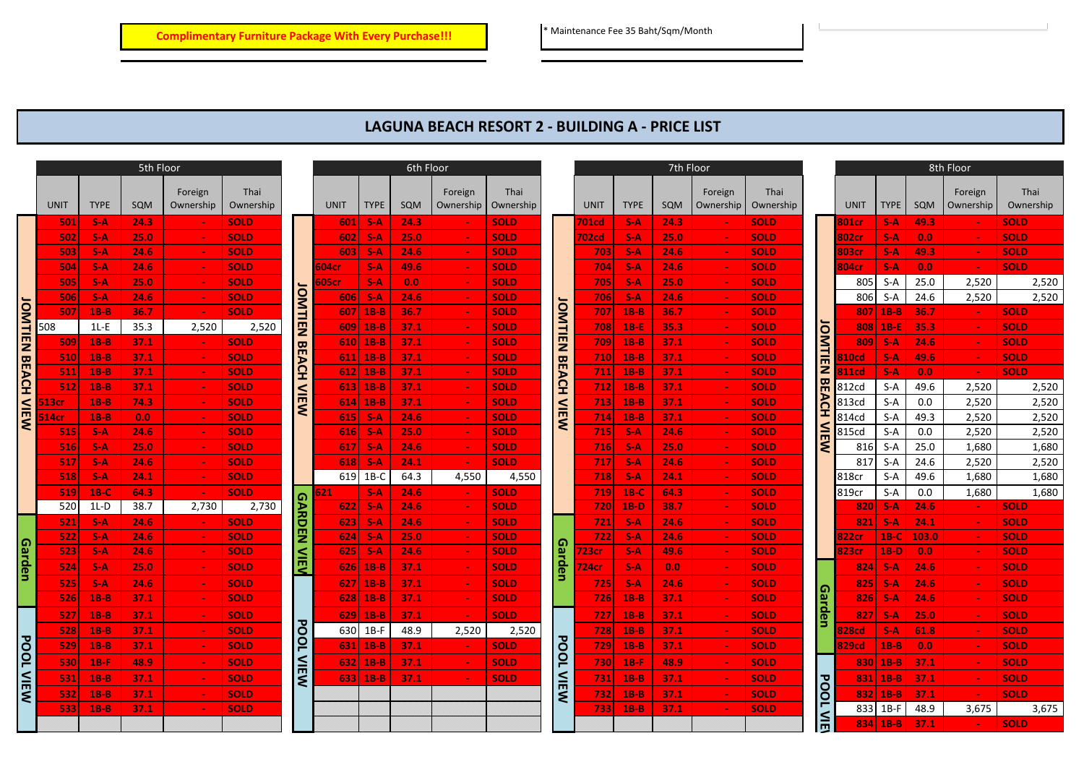## **LAGUNA BEACH RESORT 2 - BUILDING A - PRICE LIST**

|                  |       | 5th Floor   |      |                      |                   |               | 6th Floor   |             |                  |                      |                   |                         | 7th Floor   |             |      |                      |                   |                |             |             | 8th Floor |                          |                   |
|------------------|-------|-------------|------|----------------------|-------------------|---------------|-------------|-------------|------------------|----------------------|-------------------|-------------------------|-------------|-------------|------|----------------------|-------------------|----------------|-------------|-------------|-----------|--------------------------|-------------------|
|                  | UNIT  | <b>TYPE</b> | SQM  | Foreign<br>Ownership | Thai<br>Ownership |               | <b>UNIT</b> | <b>TYPE</b> | SQM              | Foreign<br>Ownership | Thai<br>Ownership |                         | <b>UNIT</b> | <b>TYPE</b> | SQM  | Foreign<br>Ownership | Thai<br>Ownership |                | <b>UNIT</b> | <b>TYPE</b> | SQM       | Foreign<br>Ownership     | Thai<br>Ownership |
|                  | 501   | $S-A$       | 24.3 |                      | <b>SOLD</b>       |               | 601         | $S-A$       | 24.3             |                      | <b>SOLD</b>       |                         | 701cd       | $S-A$       | 24.3 |                      | <b>SOLD</b>       |                | 801cr       | $S-A$       | 49.3      |                          | <b>SOLD</b>       |
|                  | 502   | $S-A$       | 25.0 |                      | <b>SOLD</b>       |               | 602         | $S-A$       | 25.0             |                      | <b>SOLD</b>       | 702cd                   | $S-A$       | 25.0        |      | <b>SOLD</b>          |                   | 802cr          | $S-A$       | 0.0         |           | <b>SOLD</b>              |                   |
|                  | 503   | $S-A$       | 24.6 |                      | <b>SOLD</b>       |               | 603         | $S-A$       | 24.6             |                      | <b>SOLD</b>       |                         | 703         | $S-A$       | 24.6 |                      | <b>SOLD</b>       |                | 803cr       | $S-A$       | 49.3      |                          | <b>SOLD</b>       |
|                  | 504   | $S-A$       | 24.6 |                      | <b>SOLD</b>       |               | 504cr       | $S-A$       | 49.6             |                      | <b>SOLD</b>       |                         | 704         | $S-A$       | 24.6 |                      | <b>SOLD</b>       |                | 804cr       | $S-A$       | 0.0       |                          | <b>SOLD</b>       |
|                  | 505   | $S-A$       | 25.0 |                      | <b>SOLD</b>       |               | 505cr       | $S-A$       | 0.0 <sub>1</sub> |                      | <b>SOLD</b>       |                         | 705         | $S-A$       | 25.0 |                      | <b>SOLD</b>       |                | 805         | $S-A$       | 25.0      | 2,520                    | 2,520             |
|                  | 506   | $S-A$       | 24.6 |                      | <b>SOLD</b>       |               | 606         | $S-A$       | 24.6             |                      | <b>SOLD</b>       |                         | 706         | $S-A$       | 24.6 | $\sim$               | <b>SOLD</b>       |                | 806         | $S-A$       | 24.6      | 2,520                    | 2,520             |
|                  | 507   | $1B-B$      | 36.7 |                      | <b>SOLD</b>       | <b>OMTIEN</b> | <b>607</b>  | $1B-B$      | 36.7             |                      | <b>SOLD</b>       |                         | 707         | $1B-B$      | 36.7 |                      | <b>SOLD</b>       |                |             | $807$ 1B-B  | 36.7      | $\sim$                   | <b>SOLD</b>       |
|                  | 508   | $1L-E$      | 35.3 | 2,520                | 2,520             |               | 609         | $1B-B$      | 37.1             | $\sim$               | <b>SOLD</b>       | JOMTIEN<br><b>BEACH</b> | 708         | $1B-E$      | 35.3 |                      | <b>SOLD</b>       |                | 808         | $1B-E$      | 35.3      | $\sim$                   | <b>SOLD</b>       |
| <b>JOMTIEN</b>   | 509   | $1B-B$      | 37.1 |                      | <b>SOLD</b>       |               | 610         | $1B-B$      | 37.1             |                      | <b>SOLD</b>       |                         | 709         | $1B-B$      | 37.1 |                      | <b>SOLD</b>       |                | 809         | $S-A$       | 24.6      |                          | <b>SOLD</b>       |
|                  | 510   | $1B-B$      | 37.1 |                      | <b>SOLD</b>       |               | 611         | $1B-B$      | 37.1             | $\sim$               | <b>SOLD</b>       |                         | 710         | $1B-B$      | 37.1 |                      | <b>SOLD</b>       | <b>JOMTIEN</b> | 10cd        | $S-A$       | 49.6      | $\overline{\phantom{a}}$ | <b>SOLD</b>       |
| <b>BEACH</b>     | 511   | $1B-B$      | 37.1 |                      | <b>SOLD</b>       | <b>BEACH</b>  |             | $612$ 1B-B  | 37.1             |                      | <b>SOLD</b>       |                         | 711         | $1B-B$      | 37.1 |                      | <b>SOLD</b>       |                | 311cd       | $S-A$       | 0.0       | $\sim$                   | <b>SOLD</b>       |
|                  | 512   | $1B-B$      | 37.1 |                      | <b>SOLD</b>       |               | 613         | $1B-B$      | 37.1             |                      | <b>SOLD</b>       |                         | 712         | $1B-B$      | 37.1 |                      | <b>SOLD</b>       | <b>BEACH</b>   | 812cd       | $S-A$       | 49.6      | 2,520                    | 2,520             |
| $\leq$           | i13cr | $1B-B$      | 74.3 |                      | <b>SOLD</b>       | <b>VIEW</b>   |             | $614$ 1B-B  | 37.1             | $\sim$               | <b>SOLD</b>       |                         | 713         | $1B-B$      | 37.1 |                      | <b>SOLD</b>       |                | 813cd       | $S-A$       | 0.0       | 2,520                    | 2,520             |
| m                | 14cr  | $1B-B$      | 0.0  |                      | <b>SOLD</b>       |               | <b>615</b>  | $S-A$       | 24.6             | $\sim$               | <b>SOLD</b>       | <b>VIEW</b>             | 714         | $1B-B$      | 37.1 |                      | <b>SOLD</b>       |                | 814cd       | $S-A$       | 49.3      | 2,520                    | 2,520             |
|                  | 515   | $S-A$       | 24.6 |                      | <b>SOLD</b>       |               | <b>616</b>  | $S-A$       | 25.0             | $\sim$               | <b>SOLD</b>       |                         | 715         | $S-A$       | 24.6 |                      | <b>SOLD</b>       | $\leq$         | 815cd       | $S-A$       | 0.0       | 2,520                    | 2,520             |
|                  | 516   | $S-A$       | 25.0 |                      | <b>SOLD</b>       |               | 617         | $S-A$       | 24.6             |                      | <b>SOLD</b>       |                         | 716         | $S-A$       | 25.0 |                      | <b>SOLD</b>       | ٤              | 816         | S-A         | 25.0      | 1,680                    | 1,680             |
|                  | 517   | $S-A$       | 24.6 |                      | <b>SOLD</b>       |               | 618         | $S-A$       | 24.1             |                      | <b>SOLD</b>       |                         | 717         | $S-A$       | 24.6 |                      | <b>SOLD</b>       |                | 817         | $S-A$       | 24.6      | 2,520                    | 2,520             |
|                  | 518   | $S-A$       | 24.1 |                      | <b>SOLD</b>       |               | 619         | $1B-C$      | 64.3             | 4,550                | 4,550             |                         | 718         | $S-A$       | 24.1 |                      | <b>SOLD</b>       |                | 818cr       | $S-A$       | 49.6      | 1,680                    | 1,680             |
|                  | 519   | $1B-C$      | 64.3 |                      | <b>SOLD</b>       |               | 521         | $S-A$       | 24.6             |                      | <b>SOLD</b>       |                         | 719         | $1B-C$      | 64.3 |                      | <b>SOLD</b>       |                | 819cr       | $S-A$       | 0.0       | 1,680                    | 1,680             |
|                  | 520   | $1L-D$      | 38.7 | 2,730                | 2,730             | <b>GARD</b>   | 622         | $S-A$       | 24.6             |                      | <b>SOLD</b>       |                         | 720         | $1B-D$      | 38.7 |                      | <b>SOLD</b>       |                | 820         | $S-A$       | 24.6      |                          | <b>SOLD</b>       |
|                  | 521   | $S-A$       | 24.6 |                      | <b>SOLD</b>       |               | 623         | $S-A$       | 24.6             | $\sim$               | <b>SOLD</b>       |                         | 721         | $S-A$       | 24.6 |                      | <b>SOLD</b>       |                | 821         | $S-A$       | 24.1      | $\sim$                   | <b>SOLD</b>       |
|                  | 522   | $S-A$       | 24.6 | $\sim$               | <b>SOLD</b>       | <b>E</b>      | 624         | $S-A$       | 25.0             |                      | <b>SOLD</b>       |                         | 722         | $S-A$       | 24.6 |                      | <b>SOLD</b>       |                | l22cr       | $1B-C$      | 103.0     | $\sim$                   | <b>SOLD</b>       |
|                  | 523   | $S-A$       | 24.6 |                      | <b>SOLD</b>       | VIEV          | 625         | $S-A$       | 24.6             |                      | <b>SOLD</b>       |                         | <b>23cr</b> | $S-A$       | 49.6 |                      | <b>SOLD</b>       |                | <b>23cr</b> | $1B-D$      | 0.0       |                          | <b>SOLD</b>       |
| Garden           | 524   | $S-A$       | 25.0 |                      | <b>SOLD</b>       |               | 626         | $1B-B$      | 37.1             |                      | <b>SOLD</b>       | Garden                  | '24cr       | $S-A$       | 0.0  |                      | <b>SOLD</b>       |                | 8241        | $S-A$       | 24.6      |                          | <b>SOLD</b>       |
|                  | 525   | $S-A$       | 24.6 |                      | <b>SOLD</b>       |               | <b>627</b>  | $1B-B$      | 37.1             |                      | <b>SOLD</b>       |                         | 725         | $S-A$       | 24.6 |                      | <b>SOLD</b>       |                | 825         | $S-A$       | 24.6      |                          | <b>SOLD</b>       |
|                  | 526   | $1B-B$      | 37.1 |                      | <b>SOLD</b>       |               | 628         | $1B-B$      | 37.1             |                      | <b>SOLD</b>       |                         | 726         | $1B-B$      | 37.1 |                      | <b>SOLD</b>       | <u>Garden</u>  | 826         | $S-A$       | 24.6      |                          | <b>SOLD</b>       |
|                  | 527   | $1B-B$      | 37.1 |                      | <b>SOLD</b>       |               | 629         | $1B-B$      | 37.1             |                      | <b>SOLD</b>       |                         | 727         | $1B-B$      | 37.1 |                      | <b>SOLD</b>       |                | 827         | $S-A$       | 25.0      |                          | <b>SOLD</b>       |
|                  | 528   | $1B-B$      | 37.1 |                      | <b>SOLD</b>       | <b>POOL</b>   | 630         | $1B-F$      | 48.9             | 2,520                | 2,520             |                         | 728         | $1B-B$      | 37.1 |                      | <b>SOLD</b>       |                | 28cd:       | $S-A$       | 61.8      |                          | <b>SOLD</b>       |
|                  | 529.  | $1B-B$      | 37.1 |                      | <b>SOLD</b>       |               | 631         | $1B-B$      | 37.1             |                      | <b>SOLD</b>       | <b>POOL</b>             | 729         | $1B-B$      | 37.1 |                      | <b>SOLD</b>       |                | 329cd       | $1B-B$      | 0.0       |                          | <b>SOLD</b>       |
| <b>POOL VIEW</b> | 530   | $1B-F$      | 48.9 |                      | <b>SOLD</b>       | VIEW          | 632         | $1B-B$      | 37.1             |                      | <b>SOLD</b>       |                         | 730         | $1B-F$      | 48.9 |                      | <b>SOLD</b>       |                | 830         | $1B-B$      | 37.1      |                          | <b>SOLD</b>       |
|                  | 531   | $1B-B$      | 37.1 |                      | <b>SOLD</b>       |               | 633         | $1B-B$      | 37.1             |                      | <b>SOLD</b>       | NIEW                    | 731         | $1B-B$      | 37.1 |                      | <b>SOLD</b>       |                | 831         | $1B-B$      | 37.1      |                          | <b>SOLD</b>       |
|                  | 532   | $1B-B$      | 37.1 |                      | <b>SOLD</b>       |               |             |             |                  |                      |                   |                         | 732         | $1B-B$      | 37.1 |                      | <b>SOLD</b>       | POOL           | 832         | $1B-B$      | 37.1      | $\sim$                   | <b>SOLD</b>       |
|                  | 533   | $1B-B$      | 37.1 |                      | <b>SOLD</b>       |               |             |             |                  |                      |                   |                         | 733         | $1B-B$      | 37.1 |                      | <b>SOLD</b>       | $\leq$         | 833         | $1B-F$      | 48.9      | 3,675                    | 3,675             |
|                  |       |             |      |                      |                   |               |             |             |                  |                      |                   |                         |             |             |      |                      |                   |                |             | $834$ 1B-B  | 37.1      |                          | <b>SOLD</b>       |